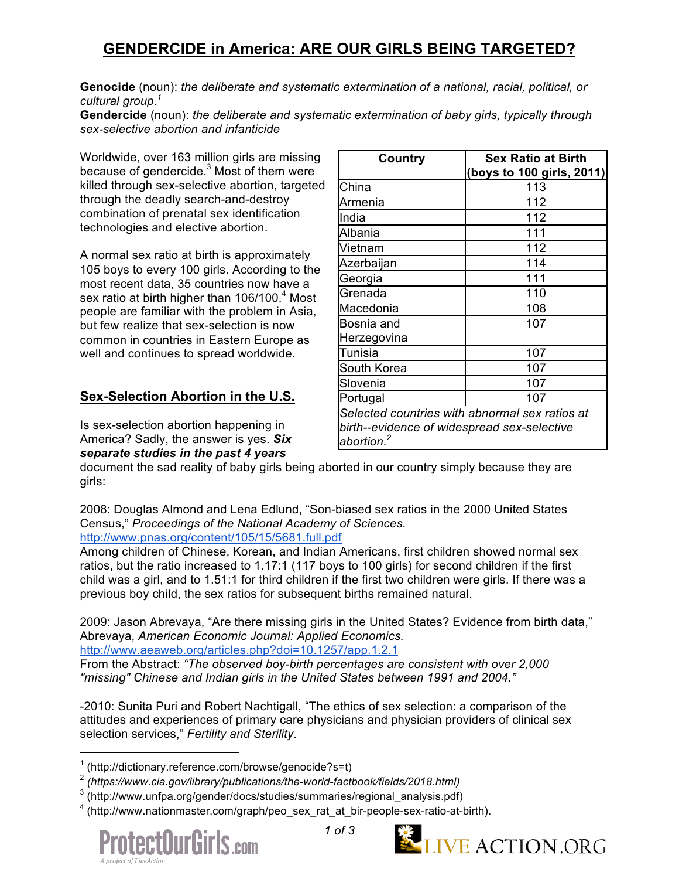## **GENDERCIDE in America: ARE OUR GIRLS BEING TARGETED?**

**Genocide** (noun): *the deliberate and systematic extermination of a national, racial, political, or cultural group.1*

**Gendercide** (noun): *the deliberate and systematic extermination of baby girls, typically through sex-selective abortion and infanticide*

Worldwide, over 163 million girls are missing because of gendercide.<sup>3</sup> Most of them were killed through sex-selective abortion, targeted through the deadly search-and-destroy combination of prenatal sex identification technologies and elective abortion.

A normal sex ratio at birth is approximately 105 boys to every 100 girls. According to the most recent data, 35 countries now have a sex ratio at birth higher than 106/100.<sup>4</sup> Most people are familiar with the problem in Asia, but few realize that sex-selection is now common in countries in Eastern Europe as well and continues to spread worldwide.

### **Sex-Selection Abortion in the U.S.**

Is sex-selection abortion happening in America? Sadly, the answer is yes. *Six separate studies in the past 4 years*

| Country                                        | <b>Sex Ratio at Birth</b> |
|------------------------------------------------|---------------------------|
|                                                | (boys to 100 girls, 2011) |
| China                                          | 113                       |
| Armenia                                        | 112                       |
| India                                          | 112                       |
| Albania                                        | 111                       |
| Vietnam                                        | 112                       |
| Azerbaijan                                     | 114                       |
| Georgia                                        | 111                       |
| Grenada                                        | 110                       |
| Macedonia                                      | 108                       |
| Bosnia and                                     | 107                       |
| Herzegovina                                    |                           |
| Tunisia                                        | 107                       |
| South Korea                                    | 107                       |
| Slovenia                                       | 107                       |
| Portugal                                       | 107                       |
| Selected countries with abnormal sex ratios at |                           |
| birth--evidence of widespread sex-selective    |                           |
| abortion. $^2$                                 |                           |

document the sad reality of baby girls being aborted in our country simply because they are girls:

2008: Douglas Almond and Lena Edlund, "Son-biased sex ratios in the 2000 United States Census," *Proceedings of the National Academy of Sciences.*

http://www.pnas.org/content/105/15/5681.full.pdf

Among children of Chinese, Korean, and Indian Americans, first children showed normal sex ratios, but the ratio increased to 1.17:1 (117 boys to 100 girls) for second children if the first child was a girl, and to 1.51:1 for third children if the first two children were girls. If there was a previous boy child, the sex ratios for subsequent births remained natural.

2009: Jason Abrevaya, "Are there missing girls in the United States? Evidence from birth data," Abrevaya, *American Economic Journal: Applied Economics.*

http://www.aeaweb.org/articles.php?doi=10.1257/app.1.2.1

From the Abstract: *"The observed boy-birth percentages are consistent with over 2,000 "missing" Chinese and Indian girls in the United States between 1991 and 2004."*

-2010: Sunita Puri and Robert Nachtigall, "The ethics of sex selection: a comparison of the attitudes and experiences of primary care physicians and physician providers of clinical sex selection services," *Fertility and Sterility*.

<sup>&</sup>lt;sup>4</sup> (http://www.nationmaster.com/graph/peo\_sex\_rat\_at\_bir-people-sex-ratio-at-birth).







 $\overline{1}$  $1$  (http://dictionary.reference.com/browse/genocide?s=t)

<sup>2</sup> *(https://www.cia.gov/library/publications/the-world-factbook/fields/2018.html)*

 $^3$  (http://www.unfpa.org/gender/docs/studies/summaries/regional\_analysis.pdf)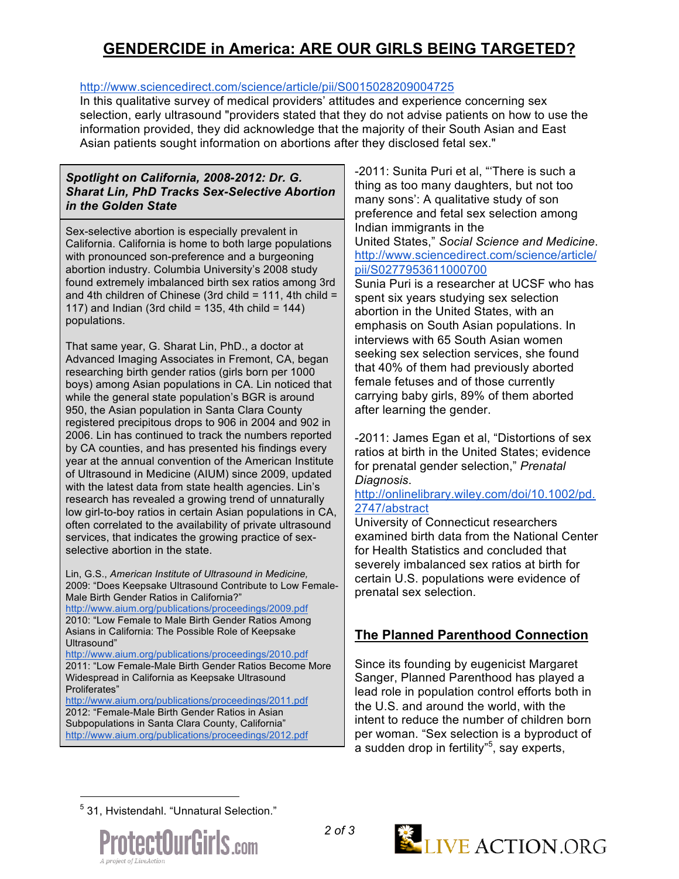# **GENDERCIDE in America: ARE OUR GIRLS BEING TARGETED?**

### http://www.sciencedirect.com/science/article/pii/S0015028209004725

In this qualitative survey of medical providers' attitudes and experience concerning sex selection, early ultrasound "providers stated that they do not advise patients on how to use the information provided, they did acknowledge that the majority of their South Asian and East Asian patients sought information on abortions after they disclosed fetal sex."

#### *Spotlight on California, 2008-2012: Dr. G. Sharat Lin, PhD Tracks Sex-Selective Abortion in the Golden State*

Sex-selective abortion is especially prevalent in California. California is home to both large populations with pronounced son-preference and a burgeoning abortion industry. Columbia University's 2008 study found extremely imbalanced birth sex ratios among 3rd and 4th children of Chinese (3rd child = 111, 4th child = 117) and Indian (3rd child = 135, 4th child =  $144$ ) populations.

That same year, G. Sharat Lin, PhD., a doctor at Advanced Imaging Associates in Fremont, CA, began researching birth gender ratios (girls born per 1000 boys) among Asian populations in CA. Lin noticed that while the general state population's BGR is around 950, the Asian population in Santa Clara County registered precipitous drops to 906 in 2004 and 902 in 2006. Lin has continued to track the numbers reported by CA counties, and has presented his findings every year at the annual convention of the American Institute of Ultrasound in Medicine (AIUM) since 2009, updated with the latest data from state health agencies. Lin's research has revealed a growing trend of unnaturally low girl-to-boy ratios in certain Asian populations in CA, often correlated to the availability of private ultrasound services, that indicates the growing practice of sexselective abortion in the state.

Lin, G.S., *American Institute of Ultrasound in Medicine,* 2009: "Does Keepsake Ultrasound Contribute to Low Female-Male Birth Gender Ratios in California?"

http://www.aium.org/publications/proceedings/2009.pdf 2010: "Low Female to Male Birth Gender Ratios Among Asians in California: The Possible Role of Keepsake Ultrasound"

http://www.aium.org/publications/proceedings/2010.pdf 2011: "Low Female-Male Birth Gender Ratios Become More Widespread in California as Keepsake Ultrasound Proliferates"

http://www.aium.org/publications/proceedings/2011.pdf 2012: "Female-Male Birth Gender Ratios in Asian Subpopulations in Santa Clara County, California" http://www.aium.org/publications/proceedings/2012.pdf -2011: Sunita Puri et al, "'There is such a thing as too many daughters, but not too many sons': A qualitative study of son preference and fetal sex selection among Indian immigrants in the United States," *Social Science and Medicine*. http://www.sciencedirect.com/science/article/ pii/S0277953611000700

Sunia Puri is a researcher at UCSF who has spent six years studying sex selection abortion in the United States, with an emphasis on South Asian populations. In interviews with 65 South Asian women seeking sex selection services, she found that 40% of them had previously aborted female fetuses and of those currently carrying baby girls, 89% of them aborted after learning the gender.

-2011: James Egan et al, "Distortions of sex ratios at birth in the United States; evidence for prenatal gender selection," *Prenatal Diagnosis*.

#### http://onlinelibrary.wiley.com/doi/10.1002/pd. 2747/abstract

University of Connecticut researchers examined birth data from the National Center for Health Statistics and concluded that severely imbalanced sex ratios at birth for certain U.S. populations were evidence of prenatal sex selection.

## **The Planned Parenthood Connection**

Since its founding by eugenicist Margaret Sanger, Planned Parenthood has played a lead role in population control efforts both in the U.S. and around the world, with the intent to reduce the number of children born per woman. "Sex selection is a byproduct of a sudden drop in fertility"<sup>5</sup>, say experts,

—<br>5 31, Hvistendahl. "Unnatural Selection."